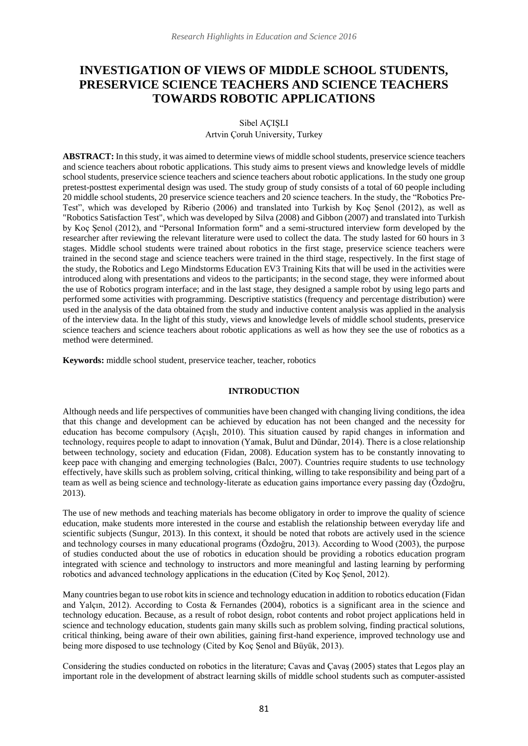# **INVESTIGATION OF VIEWS OF MIDDLE SCHOOL STUDENTS, PRESERVICE SCIENCE TEACHERS AND SCIENCE TEACHERS TOWARDS ROBOTIC APPLICATIONS**

## Sibel AÇIŞLI

Artvin Çoruh University, Turkey

**ABSTRACT:** In this study, it was aimed to determine views of middle school students, preservice science teachers and science teachers about robotic applications. This study aims to present views and knowledge levels of middle school students, preservice science teachers and science teachers about robotic applications. In the study one group pretest-posttest experimental design was used. The study group of study consists of a total of 60 people including 20 middle school students, 20 preservice science teachers and 20 science teachers. In the study, the "Robotics Pre-Test", which was developed by Riberio (2006) and translated into Turkish by Koç Şenol (2012), as well as "Robotics Satisfaction Test", which was developed by Silva (2008) and Gibbon (2007) and translated into Turkish by Koç Şenol (2012), and "Personal Information form" and a semi-structured interview form developed by the researcher after reviewing the relevant literature were used to collect the data. The study lasted for 60 hours in 3 stages. Middle school students were trained about robotics in the first stage, preservice science teachers were trained in the second stage and science teachers were trained in the third stage, respectively. In the first stage of the study, the Robotics and Lego Mindstorms Education EV3 Training Kits that will be used in the activities were introduced along with presentations and videos to the participants; in the second stage, they were informed about the use of Robotics program interface; and in the last stage, they designed a sample robot by using lego parts and performed some activities with programming. Descriptive statistics (frequency and percentage distribution) were used in the analysis of the data obtained from the study and inductive content analysis was applied in the analysis of the interview data. In the light of this study, views and knowledge levels of middle school students, preservice science teachers and science teachers about robotic applications as well as how they see the use of robotics as a method were determined.

**Keywords:** middle school student, preservice teacher, teacher, robotics

#### **INTRODUCTION**

Although needs and life perspectives of communities have been changed with changing living conditions, the idea that this change and development can be achieved by education has not been changed and the necessity for education has become compulsory (Açışlı, 2010). This situation caused by rapid changes in information and technology, requires people to adapt to innovation (Yamak, Bulut and Dündar, 2014). There is a close relationship between technology, society and education (Fidan, 2008). Education system has to be constantly innovating to keep pace with changing and emerging technologies (Balcı, 2007). Countries require students to use technology effectively, have skills such as problem solving, critical thinking, willing to take responsibility and being part of a team as well as being science and technology-literate as education gains importance every passing day (Özdoğru, 2013).

The use of new methods and teaching materials has become obligatory in order to improve the quality of science education, make students more interested in the course and establish the relationship between everyday life and scientific subjects (Sungur, 2013). In this context, it should be noted that robots are actively used in the science and technology courses in many educational programs (Özdoğru, 2013). According to Wood (2003), the purpose of studies conducted about the use of robotics in education should be providing a robotics education program integrated with science and technology to instructors and more meaningful and lasting learning by performing robotics and advanced technology applications in the education (Cited by Koç Şenol, 2012).

Many countries began to use robot kits in science and technology education in addition to robotics education (Fidan and Yalçın, 2012). According to Costa & Fernandes (2004), robotics is a significant area in the science and technology education. Because, as a result of robot design, robot contents and robot project applications held in science and technology education, students gain many skills such as problem solving, finding practical solutions, critical thinking, being aware of their own abilities, gaining first-hand experience, improved technology use and being more disposed to use technology (Cited by Koç Şenol and Büyük, 2013).

Considering the studies conducted on robotics in the literature; Cavas and Çavaş (2005) states that Legos play an important role in the development of abstract learning skills of middle school students such as computer-assisted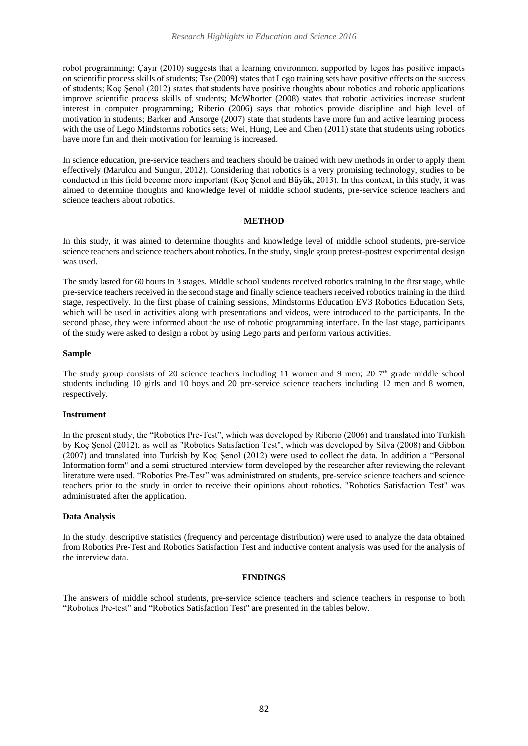robot programming; Çayır (2010) suggests that a learning environment supported by legos has positive impacts on scientific process skills of students; Tse (2009) states that Lego training sets have positive effects on the success of students; Koç Şenol (2012) states that students have positive thoughts about robotics and robotic applications improve scientific process skills of students; McWhorter (2008) states that robotic activities increase student interest in computer programming; Riberio (2006) says that robotics provide discipline and high level of motivation in students; Barker and Ansorge (2007) state that students have more fun and active learning process with the use of Lego Mindstorms robotics sets; Wei, Hung, Lee and Chen (2011) state that students using robotics have more fun and their motivation for learning is increased.

In science education, pre-service teachers and teachers should be trained with new methods in order to apply them effectively (Marulcu and Sungur, 2012). Considering that robotics is a very promising technology, studies to be conducted in this field become more important (Koç Şenol and Büyük, 2013). In this context, in this study, it was aimed to determine thoughts and knowledge level of middle school students, pre-service science teachers and science teachers about robotics.

#### **METHOD**

In this study, it was aimed to determine thoughts and knowledge level of middle school students, pre-service science teachers and science teachers about robotics. In the study, single group pretest-posttest experimental design was used.

The study lasted for 60 hours in 3 stages. Middle school students received robotics training in the first stage, while pre-service teachers received in the second stage and finally science teachers received robotics training in the third stage, respectively. In the first phase of training sessions, Mindstorms Education EV3 Robotics Education Sets, which will be used in activities along with presentations and videos, were introduced to the participants. In the second phase, they were informed about the use of robotic programming interface. In the last stage, participants of the study were asked to design a robot by using Lego parts and perform various activities.

### **Sample**

The study group consists of 20 science teachers including 11 women and 9 men; 20  $7<sup>th</sup>$  grade middle school students including 10 girls and 10 boys and 20 pre-service science teachers including 12 men and 8 women, respectively.

#### **Instrument**

In the present study, the "Robotics Pre-Test", which was developed by Riberio (2006) and translated into Turkish by Koç Şenol (2012), as well as "Robotics Satisfaction Test", which was developed by Silva (2008) and Gibbon (2007) and translated into Turkish by Koç Şenol (2012) were used to collect the data. In addition a "Personal Information form" and a semi-structured interview form developed by the researcher after reviewing the relevant literature were used. "Robotics Pre-Test" was administrated on students, pre-service science teachers and science teachers prior to the study in order to receive their opinions about robotics. "Robotics Satisfaction Test" was administrated after the application.

## **Data Analysis**

In the study, descriptive statistics (frequency and percentage distribution) were used to analyze the data obtained from Robotics Pre-Test and Robotics Satisfaction Test and inductive content analysis was used for the analysis of the interview data.

## **FINDINGS**

The answers of middle school students, pre-service science teachers and science teachers in response to both "Robotics Pre-test" and "Robotics Satisfaction Test" are presented in the tables below.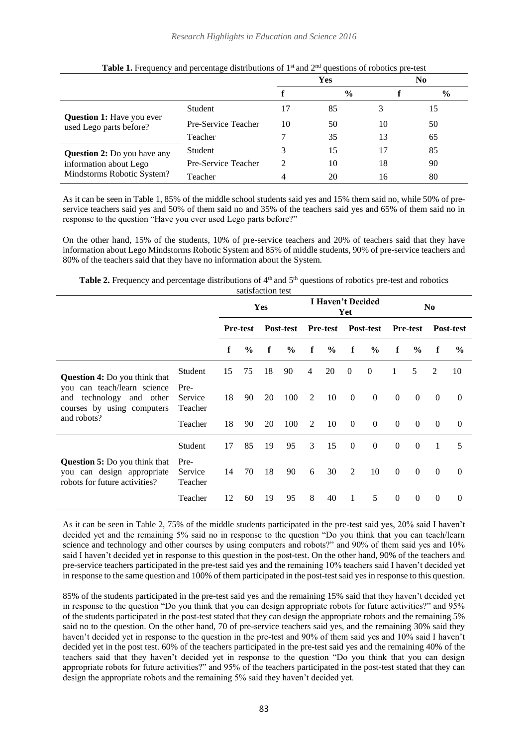|                                                                                            |                     |    | Yes           |    | No            |
|--------------------------------------------------------------------------------------------|---------------------|----|---------------|----|---------------|
|                                                                                            |                     |    | $\frac{6}{6}$ |    | $\frac{6}{6}$ |
| <b>Question 1:</b> Have you ever<br>used Lego parts before?                                | Student             |    | 85            | 3  | 15            |
|                                                                                            | Pre-Service Teacher | 10 | 50            | 10 | 50            |
|                                                                                            | Teacher             |    | 35            | 13 | 65            |
| <b>Question 2:</b> Do you have any<br>information about Lego<br>Mindstorms Robotic System? | Student             |    | 15            | 17 | 85            |
|                                                                                            | Pre-Service Teacher |    | 10            | 18 | 90            |
|                                                                                            | Teacher             | 4  | 20            | 16 | 80            |

**Table 1.** Frequency and percentage distributions of 1<sup>st</sup> and 2<sup>nd</sup> questions of robotics pre-test

As it can be seen in Table 1, 85% of the middle school students said yes and 15% them said no, while 50% of preservice teachers said yes and 50% of them said no and 35% of the teachers said yes and 65% of them said no in response to the question "Have you ever used Lego parts before?"

On the other hand, 15% of the students, 10% of pre-service teachers and 20% of teachers said that they have information about Lego Mindstorms Robotic System and 85% of middle students, 90% of pre-service teachers and 80% of the teachers said that they have no information about the System.

**Table 2.** Frequency and percentage distributions of 4<sup>th</sup> and 5<sup>th</sup> questions of robotics pre-test and robotics satisfaction test

|                                                                                                                                              |                            | <b>Yes</b>      |               |           | <b>I Haven't Decided</b><br>Yet |                 |               |                  | N <sub>0</sub> |                  |                |                |               |
|----------------------------------------------------------------------------------------------------------------------------------------------|----------------------------|-----------------|---------------|-----------|---------------------------------|-----------------|---------------|------------------|----------------|------------------|----------------|----------------|---------------|
|                                                                                                                                              |                            | <b>Pre-test</b> |               | Post-test |                                 | <b>Pre-test</b> |               | Post-test        |                | <b>Pre-test</b>  |                | Post-test      |               |
|                                                                                                                                              |                            | f               | $\frac{6}{9}$ | f         | $\frac{6}{6}$                   | f               | $\frac{6}{9}$ | f                | $\frac{6}{9}$  | f                | $\%$           | f              | $\frac{6}{9}$ |
| <b>Question 4:</b> Do you think that<br>you can teach/learn science<br>and technology and other<br>courses by using computers<br>and robots? | Student                    | 15              | 75            | 18        | 90                              | $\overline{4}$  | 20            | $\overline{0}$   | $\theta$       | $\mathbf{1}$     | 5              | 2              | 10            |
|                                                                                                                                              | Pre-<br>Service<br>Teacher | 18              | 90            | 20        | 100                             | 2               | 10            | $\boldsymbol{0}$ | $\mathbf{0}$   | $\boldsymbol{0}$ | $\overline{0}$ | $\overline{0}$ | $\mathbf{0}$  |
|                                                                                                                                              | Teacher                    | 18              | 90            | 20        | 100                             | 2               | 10            | $\theta$         | $\Omega$       | $\theta$         | $\theta$       | $\Omega$       | $\Omega$      |
| <b>Question 5:</b> Do you think that<br>you can design appropriate<br>robots for future activities?                                          | Student                    | 17              | 85            | 19        | 95                              | 3               | 15            | $\mathbf{0}$     | $\mathbf{0}$   | $\Omega$         | $\Omega$       | $\mathbf{1}$   | 5             |
|                                                                                                                                              | Pre-<br>Service<br>Teacher | 14              | 70            | 18        | 90                              | 6               | 30            | 2                | 10             | $\boldsymbol{0}$ | $\overline{0}$ | $\overline{0}$ | $\Omega$      |
|                                                                                                                                              | Teacher                    | 12              | 60            | 19        | 95                              | 8               | 40            | 1                | 5              | $\Omega$         | $\theta$       | $\theta$       | $\Omega$      |

As it can be seen in Table 2, 75% of the middle students participated in the pre-test said yes, 20% said I haven't decided yet and the remaining 5% said no in response to the question "Do you think that you can teach/learn science and technology and other courses by using computers and robots?" and 90% of them said yes and 10% said I haven't decided yet in response to this question in the post-test. On the other hand, 90% of the teachers and pre-service teachers participated in the pre-test said yes and the remaining 10% teachers said I haven't decided yet in response to the same question and 100% of them participated in the post-test said yes in response to this question.

85% of the students participated in the pre-test said yes and the remaining 15% said that they haven't decided yet in response to the question "Do you think that you can design appropriate robots for future activities?" and 95% of the students participated in the post-test stated that they can design the appropriate robots and the remaining 5% said no to the question. On the other hand, 70 of pre-service teachers said yes, and the remaining 30% said they haven't decided yet in response to the question in the pre-test and 90% of them said yes and 10% said I haven't decided yet in the post test. 60% of the teachers participated in the pre-test said yes and the remaining 40% of the teachers said that they haven't decided yet in response to the question "Do you think that you can design appropriate robots for future activities?" and 95% of the teachers participated in the post-test stated that they can design the appropriate robots and the remaining 5% said they haven't decided yet.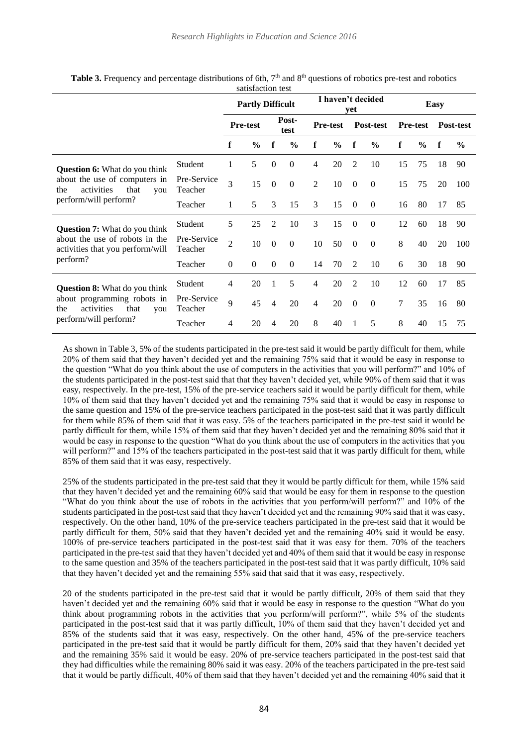|                                                                                                                                    |                        | <b>Partly Difficult</b><br>Post-<br><b>Pre-test</b><br>test |               |                | I haven't decided<br>yet |                 |               |                | Easy          |                 |               |           |               |
|------------------------------------------------------------------------------------------------------------------------------------|------------------------|-------------------------------------------------------------|---------------|----------------|--------------------------|-----------------|---------------|----------------|---------------|-----------------|---------------|-----------|---------------|
|                                                                                                                                    |                        |                                                             |               |                |                          | <b>Pre-test</b> |               | Post-test      |               | <b>Pre-test</b> |               | Post-test |               |
|                                                                                                                                    |                        | f                                                           | $\frac{6}{9}$ | $\mathbf f$    | $\frac{0}{0}$            | f               | $\frac{6}{9}$ | f              | $\frac{6}{9}$ | f               | $\frac{6}{9}$ | f         | $\frac{6}{9}$ |
| <b>Question 6:</b> What do you think<br>about the use of computers in<br>activities<br>the<br>that<br>you<br>perform/will perform? | Student                | 1                                                           | 5             | $\Omega$       | $\theta$                 | 4               | 20            | 2              | 10            | 15              | 75            | 18        | 90            |
|                                                                                                                                    | Pre-Service<br>Teacher | $\overline{3}$                                              | 15            | $\Omega$       | $\Omega$                 | 2               | 10            | $\theta$       | $\Omega$      | 15              | 75            | 20        | 100           |
|                                                                                                                                    | Teacher                | 1                                                           | 5             | 3              | 15                       | 3               | 15            | $\Omega$       | $\Omega$      | 16              | 80            | 17        | 85            |
| <b>Question 7:</b> What do you think<br>about the use of robots in the<br>activities that you perform/will<br>perform?             | Student                | 5                                                           | 25            | $\mathfrak{D}$ | 10                       | 3               | 15            | $\Omega$       | $\Omega$      | 12              | 60            | 18        | 90            |
|                                                                                                                                    | Pre-Service<br>Teacher | $\overline{2}$                                              | 10            | $\Omega$       | $\theta$                 | 10              | 50            | $\Omega$       | $\mathbf{0}$  | 8               | 40            | 20        | 100           |
|                                                                                                                                    | Teacher                | $\overline{0}$                                              | $\Omega$      | $\theta$       | $\theta$                 | 14              | 70            | 2              | 10            | 6               | 30            | 18        | 90            |
| <b>Question 8:</b> What do you think<br>about programming robots in<br>activities<br>that<br>the<br>you<br>perform/will perform?   | Student                | 4                                                           | 20            | 1              | 5                        | 4               | 20            | $\overline{2}$ | 10            | 12              | 60            | 17        | 85            |
|                                                                                                                                    | Pre-Service<br>Teacher | 9                                                           | 45            | $\overline{4}$ | 20                       | 4               | 20            | $\theta$       | $\theta$      | 7               | 35            | 16        | 80            |
|                                                                                                                                    | Teacher                | 4                                                           | 20            | $\overline{4}$ | 20                       | 8               | 40            | 1              | 5             | 8               | 40            | 15        | 75            |

**Table 3.** Frequency and percentage distributions of 6th,  $7<sup>th</sup>$  and  $8<sup>th</sup>$  questions of robotics pre-test and robotics satisfaction test

As shown in Table 3, 5% of the students participated in the pre-test said it would be partly difficult for them, while 20% of them said that they haven't decided yet and the remaining 75% said that it would be easy in response to the question "What do you think about the use of computers in the activities that you will perform?" and 10% of the students participated in the post-test said that that they haven't decided yet, while 90% of them said that it was easy, respectively. In the pre-test, 15% of the pre-service teachers said it would be partly difficult for them, while 10% of them said that they haven't decided yet and the remaining 75% said that it would be easy in response to the same question and 15% of the pre-service teachers participated in the post-test said that it was partly difficult for them while 85% of them said that it was easy. 5% of the teachers participated in the pre-test said it would be partly difficult for them, while 15% of them said that they haven't decided yet and the remaining 80% said that it would be easy in response to the question "What do you think about the use of computers in the activities that you will perform?" and 15% of the teachers participated in the post-test said that it was partly difficult for them, while 85% of them said that it was easy, respectively.

25% of the students participated in the pre-test said that they it would be partly difficult for them, while 15% said that they haven't decided yet and the remaining 60% said that would be easy for them in response to the question "What do you think about the use of robots in the activities that you perform/will perform?" and 10% of the students participated in the post-test said that they haven't decided yet and the remaining 90% said that it was easy, respectively. On the other hand, 10% of the pre-service teachers participated in the pre-test said that it would be partly difficult for them, 50% said that they haven't decided yet and the remaining 40% said it would be easy. 100% of pre-service teachers participated in the post-test said that it was easy for them. 70% of the teachers participated in the pre-test said that they haven't decided yet and 40% of them said that it would be easy in response to the same question and 35% of the teachers participated in the post-test said that it was partly difficult, 10% said that they haven't decided yet and the remaining 55% said that said that it was easy, respectively.

20 of the students participated in the pre-test said that it would be partly difficult, 20% of them said that they haven't decided yet and the remaining 60% said that it would be easy in response to the question "What do you think about programming robots in the activities that you perform/will perform?", while 5% of the students participated in the post-test said that it was partly difficult, 10% of them said that they haven't decided yet and 85% of the students said that it was easy, respectively. On the other hand, 45% of the pre-service teachers participated in the pre-test said that it would be partly difficult for them, 20% said that they haven't decided yet and the remaining 35% said it would be easy. 20% of pre-service teachers participated in the post-test said that they had difficulties while the remaining 80% said it was easy. 20% of the teachers participated in the pre-test said that it would be partly difficult, 40% of them said that they haven't decided yet and the remaining 40% said that it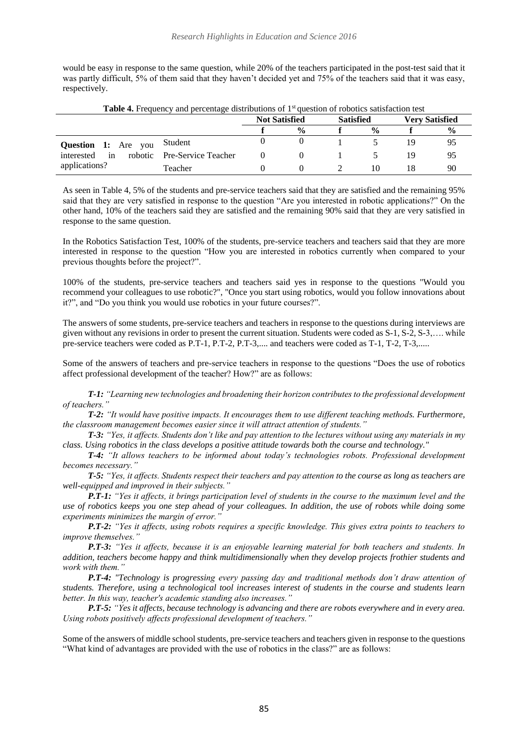would be easy in response to the same question, while 20% of the teachers participated in the post-test said that it was partly difficult, 5% of them said that they haven't decided yet and 75% of the teachers said that it was easy, respectively.

|                                                                 |                             | <b>Not Satisfied</b> |               | <b>Satisfied</b> |               | <b>Very Satisfied</b> |               |  |
|-----------------------------------------------------------------|-----------------------------|----------------------|---------------|------------------|---------------|-----------------------|---------------|--|
|                                                                 |                             |                      | $\frac{0}{0}$ |                  | $\frac{0}{0}$ |                       | $\frac{0}{0}$ |  |
| <b>Question 1:</b> Are you<br>interested<br>1n<br>applications? | Student                     |                      |               |                  |               |                       |               |  |
|                                                                 | robotic Pre-Service Teacher |                      |               |                  |               | 19                    |               |  |
|                                                                 | Teacher                     |                      |               |                  |               |                       | 90            |  |

**Table 4.** Frequency and percentage distributions of 1<sup>st</sup> question of robotics satisfaction test

As seen in Table 4, 5% of the students and pre-service teachers said that they are satisfied and the remaining 95% said that they are very satisfied in response to the question "Are you interested in robotic applications?" On the other hand, 10% of the teachers said they are satisfied and the remaining 90% said that they are very satisfied in response to the same question.

In the Robotics Satisfaction Test, 100% of the students, pre-service teachers and teachers said that they are more interested in response to the question "How you are interested in robotics currently when compared to your previous thoughts before the project?".

100% of the students, pre-service teachers and teachers said yes in response to the questions "Would you recommend your colleagues to use robotic?", "Once you start using robotics, would you follow innovations about it?", and "Do you think you would use robotics in your future courses?".

The answers of some students, pre-service teachers and teachers in response to the questions during interviews are given without any revisions in order to present the current situation. Students were coded as S-1, S-2, S-3,…. while pre-service teachers were coded as P.T-1, P.T-2, P.T-3,.... and teachers were coded as T-1, T-2, T-3,.....

Some of the answers of teachers and pre-service teachers in response to the questions "Does the use of robotics affect professional development of the teacher? How?" are as follows:

*T-1: "Learning new technologies and broadening their horizon contributes to the professional development of teachers."*

*T-2: "It would have positive impacts. It encourages them to use different teaching methods. Furthermore, the classroom management becomes easier since it will attract attention of students."*

*T-3: "Yes, it affects. Students don't like and pay attention to the lectures without using any materials in my class. Using robotics in the class develops a positive attitude towards both the course and technology."*

*T-4: "It allows teachers to be informed about today's technologies robots. Professional development becomes necessary."*

*T-5: "Yes, it affects. Students respect their teachers and pay attention to the course as long as teachers are well-equipped and improved in their subjects."*

*P.T-1: "Yes it affects, it brings participation level of students in the course to the maximum level and the use of robotics keeps you one step ahead of your colleagues. In addition, the use of robots while doing some experiments minimizes the margin of error."*

*P.T-2: "Yes it affects, using robots requires a specific knowledge. This gives extra points to teachers to improve themselves."*

*P.T-3: "Yes it affects, because it is an enjoyable learning material for both teachers and students. In addition, teachers become happy and think multidimensionally when they develop projects frothier students and work with them."*

*P.T-4: "Technology is progressing every passing day and traditional methods don't draw attention of students. Therefore, using a technological tool increases interest of students in the course and students learn better. In this way, teacher's academic standing also increases."*

*P.T-5: "Yes it affects, because technology is advancing and there are robots everywhere and in every area. Using robots positively affects professional development of teachers."*

Some of the answers of middle school students, pre-service teachers and teachers given in response to the questions "What kind of advantages are provided with the use of robotics in the class?" are as follows: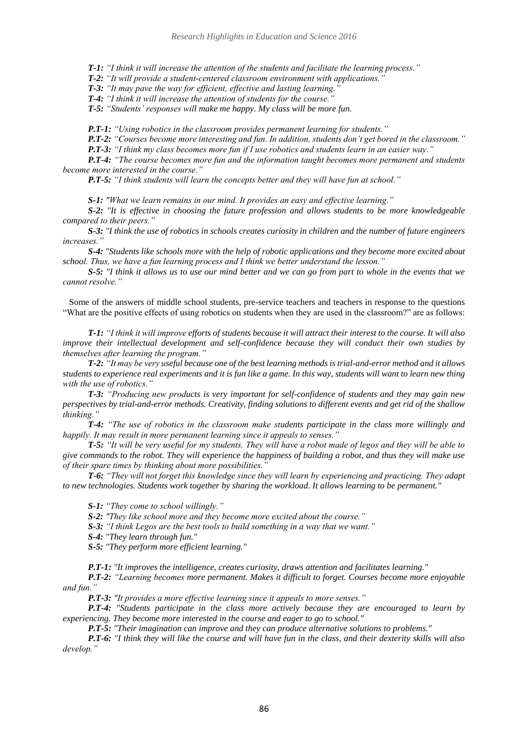*T-1: "I think it will increase the attention of the students and facilitate the learning process."*

*T-2: "It will provide a student-centered classroom environment with applications."*

*T-3: "It may pave the way for efficient, effective and lasting learning."*

*T-4: "I think it will increase the attention of students for the course."*

*T-5: "Students' responses will make me happy. My class will be more fun.* 

*P.T-1: "Using robotics in the classroom provides permanent learning for students."*

*P.T-2: "Courses become more interesting and fun. In addition, students don't get bored in the classroom."*

*P.T-3: "I think my class becomes more fun if I use robotics and students learn in an easier way."*

*P.T-4: "The course becomes more fun and the information taught becomes more permanent and students become more interested in the course."*

*P.T-5: "I think students will learn the concepts better and they will have fun at school."*

*S-1: "What we learn remains in our mind. It provides an easy and effective learning."*

*S-2: "It is effective in choosing the future profession and allows students to be more knowledgeable compared to their peers."*

*S-3: "I think the use of robotics in schools creates curiosity in children and the number of future engineers increases."*

*S-4: "Students like schools more with the help of robotic applications and they become more excited about school. Thus, we have a fun learning process and I think we better understand the lesson."*

*S-5: "I think it allows us to use our mind better and we can go from part to whole in the events that we cannot resolve."* 

Some of the answers of middle school students, pre-service teachers and teachers in response to the questions "What are the positive effects of using robotics on students when they are used in the classroom?" are as follows:

*T-1: "I think it will improve efforts of students because it will attract their interest to the course. It will also improve their intellectual development and self-confidence because they will conduct their own studies by themselves after learning the program."*

*T-2: "It may be very useful because one of the best learning methods is trial-and-error method and it allows students to experience real experiments and it is fun like a game. In this way, students will want to learn new thing with the use of robotics."*

*T-3: "Producing new products is very important for self-confidence of students and they may gain new perspectives by trial-and-error methods. Creativity, finding solutions to different events and get rid of the shallow thinking."*

*T-4: "The use of robotics in the classroom make students participate in the class more willingly and happily. It may result in more permanent learning since it appeals to senses."*

*T-5: "It will be very useful for my students. They will have a robot made of legos and they will be able to give commands to the robot. They will experience the happiness of building a robot, and thus they will make use of their spare times by thinking about more possibilities."*

*T-6: "They will not forget this knowledge since they will learn by experiencing and practicing. They adapt to new technologies. Students work together by sharing the workload. It allows learning to be permanent."*

*S-1: "They come to school willingly."*

*S-2: "They like school more and they become more excited about the course."*

*S-3: "I think Legos are the best tools to build something in a way that we want."*

*S-4: "They learn through fun."*

*S-5: "They perform more efficient learning."*

*P.T-1: "It improves the intelligence, creates curiosity, draws attention and facilitates learning."*

*P.T-2: "Learning becomes more permanent. Makes it difficult to forget. Courses become more enjoyable and fun."*

*P.T-3: "It provides a more effective learning since it appeals to more senses."*

*P.T-4: "Students participate in the class more actively because they are encouraged to learn by experiencing. They become more interested in the course and eager to go to school."*

*P.T-5: "Their imagination can improve and they can produce alternative solutions to problems."*

*P.T-6: "I think they will like the course and will have fun in the class, and their dexterity skills will also develop."*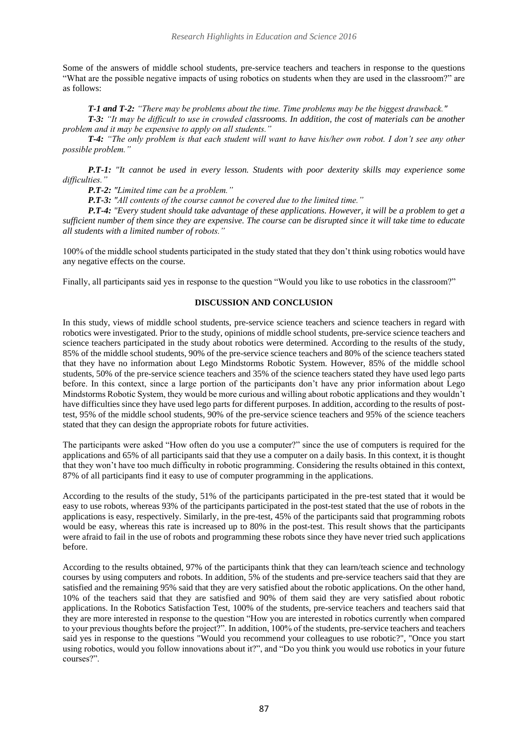Some of the answers of middle school students, pre-service teachers and teachers in response to the questions "What are the possible negative impacts of using robotics on students when they are used in the classroom?" are as follows:

*T-1 and T-2: "There may be problems about the time. Time problems may be the biggest drawback." T-3: "It may be difficult to use in crowded classrooms. In addition, the cost of materials can be another problem and it may be expensive to apply on all students."*

*T-4: "The only problem is that each student will want to have his/her own robot. I don't see any other possible problem."*

*P.T-1: "It cannot be used in every lesson. Students with poor dexterity skills may experience some difficulties."*

*P.T-2: "Limited time can be a problem."*

*P.T-3: "All contents of the course cannot be covered due to the limited time."*

*P.T-4: "Every student should take advantage of these applications. However, it will be a problem to get a sufficient number of them since they are expensive. The course can be disrupted since it will take time to educate all students with a limited number of robots."*

100% of the middle school students participated in the study stated that they don't think using robotics would have any negative effects on the course.

Finally, all participants said yes in response to the question "Would you like to use robotics in the classroom?"

#### **DISCUSSION AND CONCLUSION**

In this study, views of middle school students, pre-service science teachers and science teachers in regard with robotics were investigated. Prior to the study, opinions of middle school students, pre-service science teachers and science teachers participated in the study about robotics were determined. According to the results of the study, 85% of the middle school students, 90% of the pre-service science teachers and 80% of the science teachers stated that they have no information about Lego Mindstorms Robotic System. However, 85% of the middle school students, 50% of the pre-service science teachers and 35% of the science teachers stated they have used lego parts before. In this context, since a large portion of the participants don't have any prior information about Lego Mindstorms Robotic System, they would be more curious and willing about robotic applications and they wouldn't have difficulties since they have used lego parts for different purposes. In addition, according to the results of posttest, 95% of the middle school students, 90% of the pre-service science teachers and 95% of the science teachers stated that they can design the appropriate robots for future activities.

The participants were asked "How often do you use a computer?" since the use of computers is required for the applications and 65% of all participants said that they use a computer on a daily basis. In this context, it is thought that they won't have too much difficulty in robotic programming. Considering the results obtained in this context, 87% of all participants find it easy to use of computer programming in the applications.

According to the results of the study, 51% of the participants participated in the pre-test stated that it would be easy to use robots, whereas 93% of the participants participated in the post-test stated that the use of robots in the applications is easy, respectively. Similarly, in the pre-test, 45% of the participants said that programming robots would be easy, whereas this rate is increased up to 80% in the post-test. This result shows that the participants were afraid to fail in the use of robots and programming these robots since they have never tried such applications before.

According to the results obtained, 97% of the participants think that they can learn/teach science and technology courses by using computers and robots. In addition, 5% of the students and pre-service teachers said that they are satisfied and the remaining 95% said that they are very satisfied about the robotic applications. On the other hand, 10% of the teachers said that they are satisfied and 90% of them said they are very satisfied about robotic applications. In the Robotics Satisfaction Test, 100% of the students, pre-service teachers and teachers said that they are more interested in response to the question "How you are interested in robotics currently when compared to your previous thoughts before the project?". In addition, 100% of the students, pre-service teachers and teachers said yes in response to the questions "Would you recommend your colleagues to use robotic?", "Once you start using robotics, would you follow innovations about it?", and "Do you think you would use robotics in your future courses?".